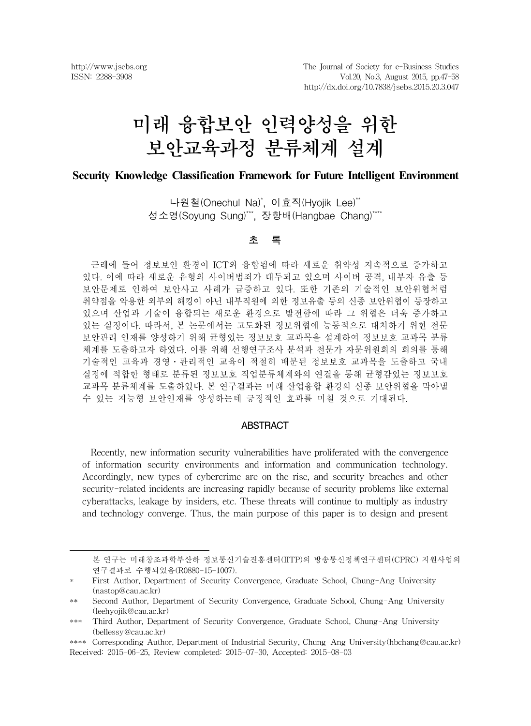# 미래 융합보안 인력양성을 위한 보안교육과정 분류체계 설계

#### **Security Knowledge Classification Framework for Future Intelligent Environment**

나원철(Onechul Na)\* , 이효직(Hyojik Lee)\*\* 성소영(Soyung Sung)\*\*\*, 장항배(Hangbae Chang)\*\*\*\*

#### 초 록

근래에 들어 정보보안 환경이 ICT와 융합됨에 따라 새로운 취약성 지속적으로 증가하고 있다. 이에 따라 새로운 유형의 사이버범죄가 대두되고 있으며 사이버 공격, 내부자 유출 등 보안문제로 인하여 보안사고 사례가 급증하고 있다. 또한 기존의 기술적인 보안위협처럼 취약점을 악용한 외부의 해킹이 아닌 내부직원에 의한 정보유출 등의 신종 보안위협이 등장하고 있으며 산업과 기술이 융합되는 새로운 환경으로 발전함에 따라 그 위협은 더욱 증가하고 있는 실정이다. 따라서, 본 논문에서는 고도화된 정보위협에 능동적으로 대처하기 위한 전문 보안관리 인재를 양성하기 위해 균형있는 정보보호 교과목을 설계하여 정보보호 교과목 분류 체계를 도출하고자 하였다. 이를 위해 선행연구조사 분석과 전문가 자문위원회의 회의를 통해 기술적인 교육과 경영․관리적인 교육이 적절히 배분된 정보보호 교과목을 도출하고 국내 실정에 적합한 형태로 분류된 정보보호 직업분류체계와의 연결을 통해 균형감있는 정보보호 교과목 분류체계를 도출하였다. 본 연구결과는 미래 산업융합 환경의 신종 보안위협을 막아낼 수 있는 지능형 보안인재를 양성하는데 긍정적인 효과를 미칠 것으로 기대된다.

#### ABSTRACT

Recently, new information security vulnerabilities have proliferated with the convergence of information security environments and information and communication technology. Accordingly, new types of cybercrime are on the rise, and security breaches and other security-related incidents are increasing rapidly because of security problems like external cyberattacks, leakage by insiders, etc. These threats will continue to multiply as industry and technology converge. Thus, the main purpose of this paper is to design and present

본 연구는 미래창조과학부산하 정보통신기술진흥센터(IITP)의 방송통신정책연구센터(CPRC) 지원사업의 연구결과로 수행되었음(R0880-15-1007).

<sup>\*</sup> First Author, Department of Security Convergence, Graduate School, Chung-Ang University (nastop@cau.ac.kr)

<sup>\*\*</sup> Second Author, Department of Security Convergence, Graduate School, Chung-Ang University (leehyojik@cau.ac.kr)

<sup>\*\*\*</sup> Third Author, Department of Security Convergence, Graduate School, Chung-Ang University (bellessy@cau.ac.kr)

<sup>\*\*\*\*</sup> Corresponding Author, Department of Industrial Security, Chung-Ang University(hbchang@cau.ac.kr) Received: 2015-06-25, Review completed: 2015-07-30, Accepted: 2015-08-03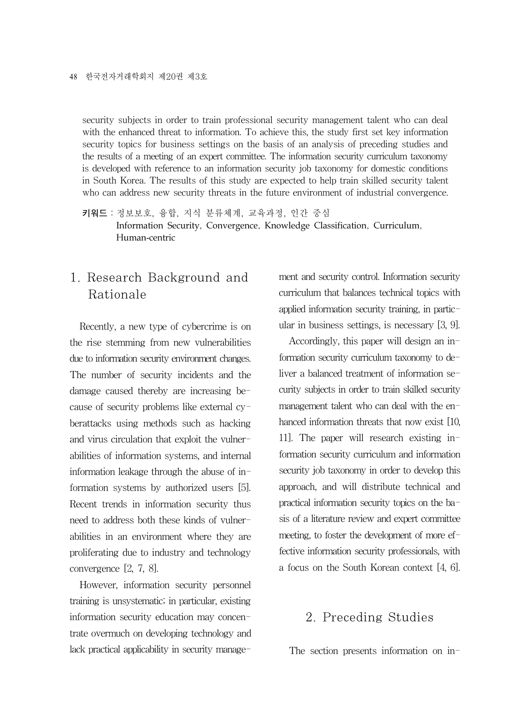security subjects in order to train professional security management talent who can deal with the enhanced threat to information. To achieve this, the study first set key information security topics for business settings on the basis of an analysis of preceding studies and the results of a meeting of an expert committee. The information security curriculum taxonomy is developed with reference to an information security job taxonomy for domestic conditions in South Korea. The results of this study are expected to help train skilled security talent who can address new security threats in the future environment of industrial convergence.

키워드:정보보호, 융합, 지식 분류체계, 교육과정, 인간 중심 Information Security, Convergence, Knowledge Classification, Curriculum, Human-centric

## 1. Research Background and Rationale

Recently, a new type of cybercrime is on the rise stemming from new vulnerabilities due to information security environment changes. The number of security incidents and the damage caused thereby are increasing because of security problems like external cyberattacks using methods such as hacking and virus circulation that exploit the vulnerabilities of information systems, and internal information leakage through the abuse of information systems by authorized users [5]. Recent trends in information security thus need to address both these kinds of vulnerabilities in an environment where they are proliferating due to industry and technology convergence [2, 7, 8].

However, information security personnel training is unsystematic; in particular, existing information security education may concentrate overmuch on developing technology and lack practical applicability in security management and security control. Information security curriculum that balances technical topics with applied information security training, in particular in business settings, is necessary [3, 9].

Accordingly, this paper will design an information security curriculum taxonomy to deliver a balanced treatment of information security subjects in order to train skilled security management talent who can deal with the enhanced information threats that now exist [10, 11]. The paper will research existing information security curriculum and information security job taxonomy in order to develop this approach, and will distribute technical and practical information security topics on the basis of a literature review and expert committee meeting, to foster the development of more effective information security professionals, with a focus on the South Korean context [4, 6].

#### 2. Preceding Studies

The section presents information on in-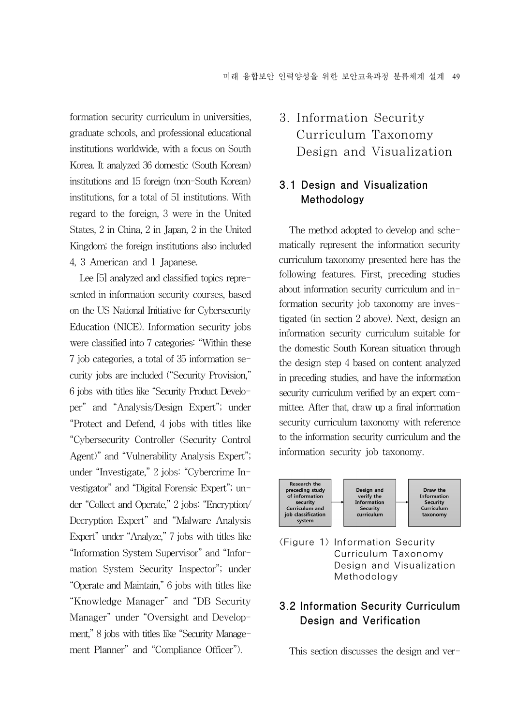formation security curriculum in universities, graduate schools, and professional educational institutions worldwide, with a focus on South Korea. It analyzed 36 domestic (South Korean) institutions and 15 foreign (non-South Korean) institutions, for a total of 51 institutions. With regard to the foreign, 3 were in the United States, 2 in China, 2 in Japan, 2 in the United Kingdom; the foreign institutions also included 4, 3 American and 1 Japanese.

Lee [5] analyzed and classified topics represented in information security courses, based on the US National Initiative for Cybersecurity Education (NICE). Information security jobs were classified into 7 categories: "Within these 7 job categories, a total of 35 information security jobs are included ("Security Provision," 6 jobs with titles like "Security Product Developer" and "Analysis/Design Expert"; under "Protect and Defend, 4 jobs with titles like "Cybersecurity Controller (Security Control Agent)" and "Vulnerability Analysis Expert"; under "Investigate," 2 jobs: "Cybercrime Investigator" and "Digital Forensic Expert"; under "Collect and Operate," 2 jobs: "Encryption/ Decryption Expert" and "Malware Analysis Expert" under "Analyze," 7 jobs with titles like "Information System Supervisor" and "Information System Security Inspector"; under "Operate and Maintain," 6 jobs with titles like "Knowledge Manager" and "DB Security Manager" under "Oversight and Development," 8 jobs with titles like "Security Management Planner" and "Compliance Officer").

# 3. Information Security Curriculum Taxonomy Design and Visualization

### 3.1 Design and Visualization Methodology

The method adopted to develop and schematically represent the information security curriculum taxonomy presented here has the following features. First, preceding studies about information security curriculum and information security job taxonomy are investigated (in section 2 above). Next, design an information security curriculum suitable for the domestic South Korean situation through the design step 4 based on content analyzed in preceding studies, and have the information security curriculum verified by an expert committee. After that, draw up a final information security curriculum taxonomy with reference to the information security curriculum and the information security job taxonomy.



<Figure 1> Information Security Curriculum Taxonomy Design and Visualization Methodology

## 3.2 Information Security Curriculum Design and Verification

This section discusses the design and ver-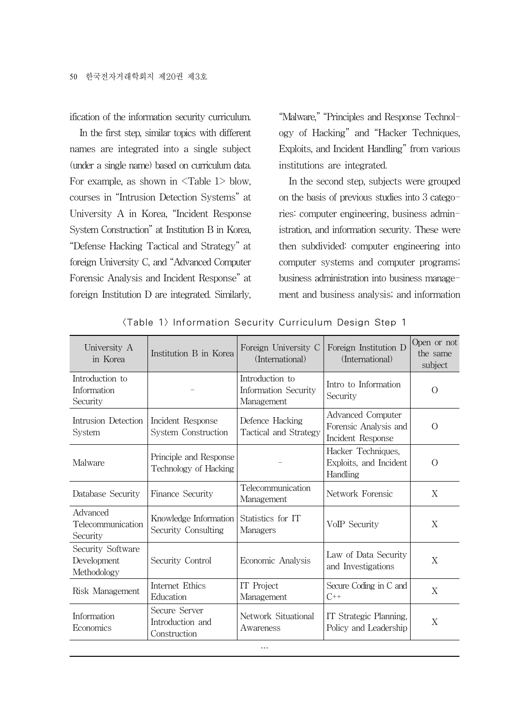ification of the information security curriculum.

In the first step, similar topics with different names are integrated into a single subject (under a single name) based on curriculum data. For example, as shown in  $\leq$  Table 1 $>$  blow, courses in "Intrusion Detection Systems" at University A in Korea, "Incident Response System Construction" at Institution B in Korea, "Defense Hacking Tactical and Strategy" at foreign University C, and "Advanced Computer Forensic Analysis and Incident Response" at foreign Institution D are integrated. Similarly,

"Malware," "Principles and Response Technology of Hacking" and "Hacker Techniques, Exploits, and Incident Handling" from various institutions are integrated.

In the second step, subjects were grouped on the basis of previous studies into 3 categories: computer engineering, business administration, and information security. These were then subdivided: computer engineering into computer systems and computer programs; business administration into business management and business analysis; and information

| University A<br>in Korea                        | Institution B in Korea                            | Foreign University C<br>(International)               | Foreign Institution D<br>(International)                               | Open or not<br>the same<br>subject |
|-------------------------------------------------|---------------------------------------------------|-------------------------------------------------------|------------------------------------------------------------------------|------------------------------------|
| Introduction to<br>Information<br>Security      |                                                   | Introduction to<br>Information Security<br>Management | Intro to Information<br>Security                                       | $\Omega$                           |
| Intrusion Detection<br>System                   | Incident Response<br>System Construction          | Defence Hacking<br>Tactical and Strategy              | <b>Advanced Computer</b><br>Forensic Analysis and<br>Incident Response | $\Omega$                           |
| Malware                                         | Principle and Response<br>Technology of Hacking   |                                                       | Hacker Techniques,<br>Exploits, and Incident<br>Handling               | $\Omega$                           |
| Database Security                               | Finance Security                                  | Telecommunication<br>Management                       | Network Forensic                                                       | X                                  |
| Advanced<br>Telecommunication<br>Security       | Knowledge Information<br>Security Consulting      | Statistics for IT<br>Managers                         | VoIP Security                                                          | X                                  |
| Security Software<br>Development<br>Methodology | Security Control                                  | Economic Analysis                                     | Law of Data Security<br>and Investigations                             | X                                  |
| Risk Management                                 | Internet Ethics<br>Education                      | IT Project<br>Management                              | Secure Coding in C and<br>$C^{++}$                                     | X                                  |
| Information<br>Economics                        | Secure Server<br>Introduction and<br>Construction | Network Situational<br>Awareness                      | IT Strategic Planning,<br>Policy and Leadership                        | X                                  |
| $\cdots$                                        |                                                   |                                                       |                                                                        |                                    |

<Table 1> Information Security Curriculum Design Step 1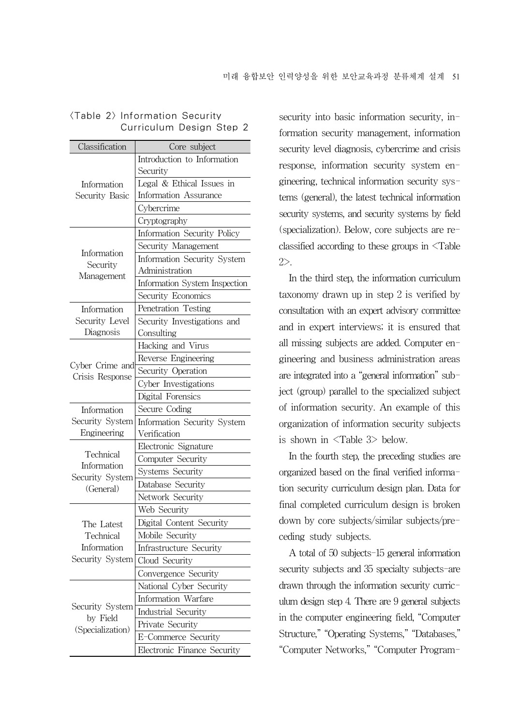| Classification                 | Core subject                  |
|--------------------------------|-------------------------------|
|                                | Introduction to Information   |
|                                | Security                      |
| Information                    | Legal & Ethical Issues in     |
| Security Basic                 | Information Assurance         |
|                                | Cybercrime                    |
|                                | Cryptography                  |
|                                | Information Security Policy   |
|                                | Security Management           |
| Information                    | Information Security System   |
| Security                       | Administration                |
| Management                     | Information System Inspection |
|                                | Security Economics            |
| Information                    | Penetration Testing           |
| Security Level                 | Security Investigations and   |
| Diagnosis                      | Consulting                    |
|                                | Hacking and Virus             |
|                                | Reverse Engineering           |
| Cyber Crime and                | Security Operation            |
| Crisis Response                | Cyber Investigations          |
|                                | Digital Forensics             |
| Information                    | Secure Coding                 |
| Security System                | Information Security System   |
| Engineering                    | Verification                  |
|                                | Electronic Signature          |
| Technical                      | Computer Security             |
| Information<br>Security System | Systems Security              |
| (General)                      | Database Security             |
|                                | Network Security              |
|                                | Web Security                  |
| The Latest                     | Digital Content Security      |
| Technical                      | Mobile Security               |
| Information                    | Infrastructure Security       |
| Security System                | Cloud Security                |
|                                | Convergence Security          |
|                                | National Cyber Security       |
|                                | Information Warfare           |
| Security System                | Industrial Security           |
| by Field                       | Private Security              |
| (Specialization)               | E-Commerce Security           |
|                                | Electronic Finance Security   |

#### <Table 2> Information Security Curriculum Design Step 2

security into basic information security, information security management, information security level diagnosis, cybercrime and crisis response, information security system engineering, technical information security systems (general), the latest technical information security systems, and security systems by field (specialization). Below, core subjects are reclassified according to these groups in <Table 2>.

In the third step, the information curriculum taxonomy drawn up in step 2 is verified by consultation with an expert advisory committee and in expert interviews; it is ensured that all missing subjects are added. Computer engineering and business administration areas are integrated into a "general information" subject (group) parallel to the specialized subject of information security. An example of this organization of information security subjects is shown in <Table 3> below.

In the fourth step, the preceding studies are organized based on the final verified information security curriculum design plan. Data for final completed curriculum design is broken down by core subjects/similar subjects/preceding study subjects.

A total of 50 subjects-15 general information security subjects and 35 specialty subjects-are drawn through the information security curriculum design step 4. There are 9 general subjects in the computer engineering field, "Computer Structure," "Operating Systems," "Databases," "Computer Networks," "Computer Program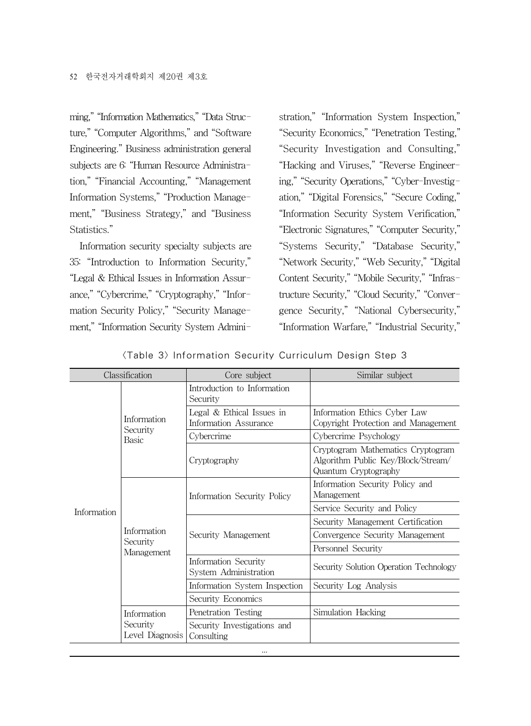ming," "Information Mathematics," "Data Structure," "Computer Algorithms," and "Software Engineering." Business administration general subjects are 6: "Human Resource Administration," "Financial Accounting," "Management Information Systems," "Production Management," "Business Strategy," and "Business Statistics."

Information security specialty subjects are 35: "Introduction to Information Security," "Legal & Ethical Issues in Information Assurance," "Cybercrime," "Cryptography," "Information Security Policy," "Security Management," "Information Security System Admini-

stration," "Information System Inspection," "Security Economics," "Penetration Testing," "Security Investigation and Consulting," "Hacking and Viruses," "Reverse Engineering," "Security Operations," "Cyber-Investigation," "Digital Forensics," "Secure Coding," "Information Security System Verification," "Electronic Signatures," "Computer Security," "Systems Security," "Database Security," "Network Security," "Web Security," "Digital Content Security," "Mobile Security," "Infrastructure Security," "Cloud Security," "Convergence Security," "National Cybersecurity," "Information Warfare," "Industrial Security,"

|                                  | Classification                                       | Core subject                                                        | Similar subject |
|----------------------------------|------------------------------------------------------|---------------------------------------------------------------------|-----------------|
|                                  |                                                      | Introduction to Information<br>Security                             |                 |
| Information<br>Security<br>Racic | Legal $& Ethical Issues in$<br>Information Assurance | Information Ethics Cyber Law<br>Copyright Protection and Management |                 |
|                                  | Cybercrime                                           | Cybercrime Psychology                                               |                 |

| Information | Basic                                                                               | Uvbercrime                                    | Uvbercrime Psychology                                                                           |  |
|-------------|-------------------------------------------------------------------------------------|-----------------------------------------------|-------------------------------------------------------------------------------------------------|--|
|             |                                                                                     | Cryptography                                  | Cryptogram Mathematics Cryptogram<br>Algorithm Public Key/Block/Stream/<br>Quantum Cryptography |  |
|             |                                                                                     | Information Security Policy                   | Information Security Policy and<br>Management                                                   |  |
|             |                                                                                     |                                               | Service Security and Policy                                                                     |  |
|             | Information<br>Security<br>Management<br>Information<br>Security<br>Level Diagnosis | Security Management                           | Security Management Certification                                                               |  |
|             |                                                                                     |                                               | Convergence Security Management                                                                 |  |
|             |                                                                                     |                                               | Personnel Security                                                                              |  |
|             |                                                                                     | Information Security<br>System Administration | Security Solution Operation Technology                                                          |  |
|             |                                                                                     | Information System Inspection                 | Security Log Analysis                                                                           |  |
|             |                                                                                     | Security Economics                            |                                                                                                 |  |
|             |                                                                                     | Penetration Testing                           | Simulation Hacking                                                                              |  |
|             |                                                                                     | Security Investigations and<br>Consulting     |                                                                                                 |  |
|             |                                                                                     | $\cdots$                                      |                                                                                                 |  |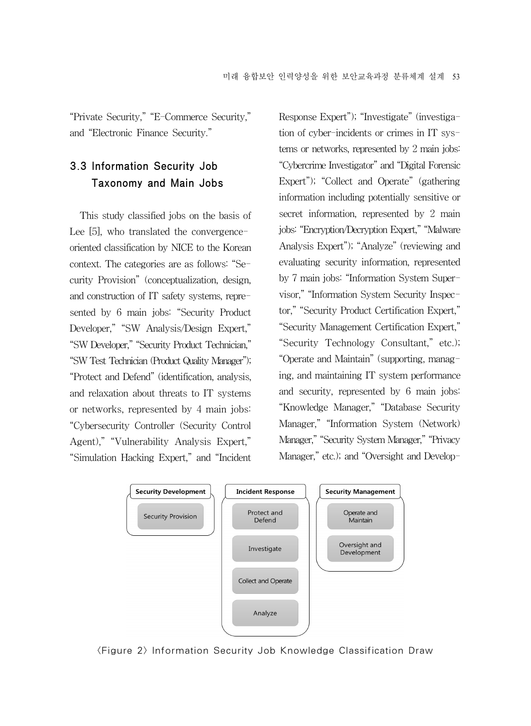"Private Security," "E-Commerce Security," and "Electronic Finance Security."

## 3.3 Information Security Job Taxonomy and Main Jobs

This study classified jobs on the basis of Lee [5], who translated the convergenceoriented classification by NICE to the Korean context. The categories are as follows: "Security Provision" (conceptualization, design, and construction of IT safety systems, represented by 6 main jobs: "Security Product Developer," "SW Analysis/Design Expert," "SW Developer," "Security Product Technician," "SWTest Technician (Product Quality Manager"); "Protect and Defend" (identification, analysis, and relaxation about threats to IT systems or networks, represented by 4 main jobs: "Cybersecurity Controller (Security Control Agent)," "Vulnerability Analysis Expert," "Simulation Hacking Expert," and "Incident

Response Expert"); "Investigate" (investigation of cyber-incidents or crimes in IT systems or networks, represented by 2 main jobs: "Cybercrime Investigator" and "Digital Forensic Expert"); "Collect and Operate" (gathering information including potentially sensitive or secret information, represented by 2 main jobs: "Encryption/Decryption Expert," "Malware Analysis Expert"); "Analyze" (reviewing and evaluating security information, represented by 7 main jobs: "Information System Supervisor," "Information System Security Inspector," "Security Product Certification Expert," "Security Management Certification Expert," "Security Technology Consultant," etc.); "Operate and Maintain" (supporting, managing, and maintaining IT system performance and security, represented by 6 main jobs: "Knowledge Manager," "Database Security Manager," "Information System (Network) Manager," "Security System Manager," "Privacy Manager," etc.); and "Oversight and Develop-



<Figure 2> Information Security Job Knowledge Classification Draw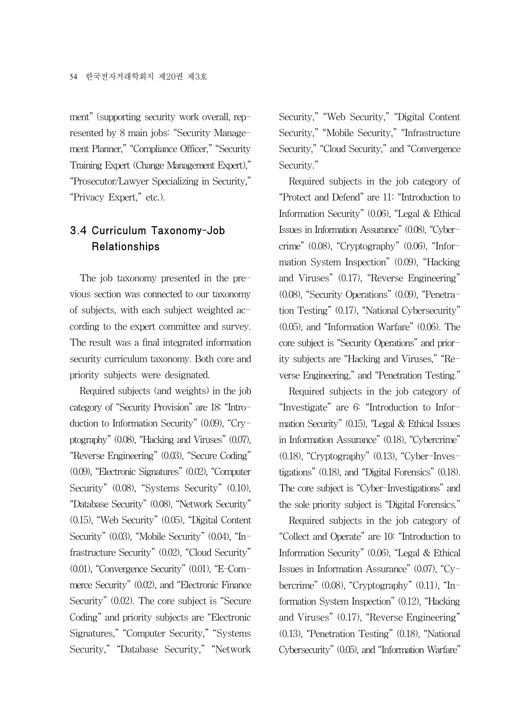ment" (supporting security work overall, represented by 8 main jobs: "Security Management Planner," "Compliance Officer," "Security Training Expert (Change Management Expert)," "Prosecutor/Lawyer Specializing in Security," "Privacy Expert," etc.).

## 3.4 Curriculum Taxonomy-Job Relationships

The job taxonomy presented in the previous section was connected to our taxonomy of subjects, with each subject weighted according to the expert committee and survey. The result was a final integrated information security curriculum taxonomy. Both core and priority subjects were designated.

Required subjects (and weights) in the job category of "Security Provision" are 18: "Introduction to Information Security" (0.09), "Cryptography" (0.08), "Hacking and Viruses" (0.07), "Reverse Engineering" (0.03), "Secure Coding" (0.09), "Electronic Signatures" (0.02), "Computer Security" (0.08), "Systems Security" (0.10), "Database Security" (0.08), "Network Security" (0.15), "Web Security" (0.05), "Digital Content Security" (0.03), "Mobile Security" (0.04), "Infrastructure Security" (0.02), "Cloud Security" (0.01), "Convergence Security" (0.01), "E-Commerce Security" (0.02), and "Electronic Finance Security" (0.02). The core subject is "Secure Coding" and priority subjects are "Electronic Signatures," "Computer Security," "Systems Security," "Database Security," "Network

Security," "Web Security," "Digital Content Security," "Mobile Security," "Infrastructure Security," "Cloud Security," and "Convergence Security."

Required subjects in the job category of "Protect and Defend" are 11: "Introduction to Information Security" (0.06), "Legal & Ethical Issues in Information Assurance" (0.08), "Cybercrime" (0.08), "Cryptography" (0.06), "Information System Inspection" (0.09), "Hacking and Viruses" (0.17), "Reverse Engineering" (0.08), "Security Operations" (0.09), "Penetration Testing" (0.17), "National Cybersecurity" (0.05), and "Information Warfare" (0.06). The core subject is "Security Operations" and priority subjects are "Hacking and Viruses," "Reverse Engineering," and "Penetration Testing."

Required subjects in the job category of "Investigate" are 6: "Introduction to Information Security" (0.15), "Legal & Ethical Issues in Information Assurance" (0.18), "Cybercrime" (0.18), "Cryptography" (0.13), "Cyber-Investigations" (0.18), and "Digital Forensics" (0.18). The core subject is "Cyber-Investigations" and the sole priority subject is "Digital Forensics."

Required subjects in the job category of "Collect and Operate" are 10: "Introduction to Information Security" (0.06), "Legal & Ethical Issues in Information Assurance" (0.07), "Cybercrime" (0.08), "Cryptography" (0.11), "Information System Inspection" (0.12), "Hacking and Viruses" (0.17), "Reverse Engineering" (0.13), "Penetration Testing" (0.18), "National Cybersecurity" (0.05), and "Information Warfare"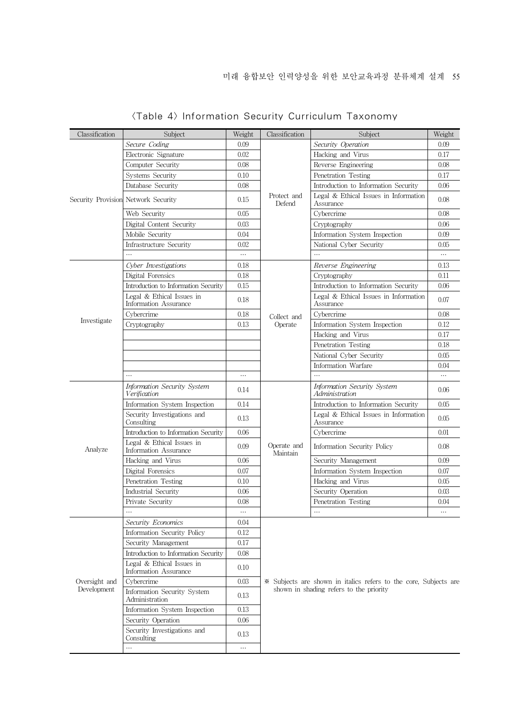| Classification                      | Subject                                            | Weight   | Classification                                                                                              | Subject                                            | Weight   |  |
|-------------------------------------|----------------------------------------------------|----------|-------------------------------------------------------------------------------------------------------------|----------------------------------------------------|----------|--|
|                                     | Secure Coding                                      | 0.09     |                                                                                                             | Security Operation                                 | 0.09     |  |
|                                     | Electronic Signature                               | 0.02     |                                                                                                             | Hacking and Virus                                  | 0.17     |  |
|                                     | Computer Security                                  | 0.08     |                                                                                                             | Reverse Engineering                                | 0.08     |  |
|                                     | Systems Security                                   | 0.10     | Protect and<br>Defend                                                                                       | Penetration Testing                                | 0.17     |  |
|                                     | Database Security                                  | 0.08     |                                                                                                             | Introduction to Information Security               | 0.06     |  |
| Security Provision Network Security |                                                    | 0.15     |                                                                                                             | Legal & Ethical Issues in Information<br>Assurance | 0.08     |  |
|                                     | Web Security                                       | 0.05     |                                                                                                             | Cybercrime                                         | 0.08     |  |
|                                     | Digital Content Security                           | 0.03     |                                                                                                             | Cryptography                                       | 0.06     |  |
|                                     | Mobile Security                                    | 0.04     |                                                                                                             | Information System Inspection                      | 0.09     |  |
|                                     | Infrastructure Security                            | 0.02     |                                                                                                             | National Cyber Security                            | 0.05     |  |
|                                     |                                                    | $\ldots$ |                                                                                                             | .                                                  | $\cdots$ |  |
|                                     | Cyber Investigations                               | 0.18     |                                                                                                             | Reverse Engineering                                | 0.13     |  |
|                                     | Digital Forensics                                  | 0.18     |                                                                                                             | Cryptography                                       | 0.11     |  |
|                                     | Introduction to Information Security               | 0.15     |                                                                                                             | Introduction to Information Security               | 0.06     |  |
|                                     | Legal & Ethical Issues in<br>Information Assurance | 0.18     |                                                                                                             | Legal & Ethical Issues in Information<br>Assurance | 0.07     |  |
|                                     | Cybercrime                                         | 0.18     | Collect and                                                                                                 | Cybercrime                                         | 0.08     |  |
| Investigate                         | Cryptography                                       | 0.13     | Operate                                                                                                     | Information System Inspection                      | 0.12     |  |
|                                     |                                                    |          |                                                                                                             | Hacking and Virus                                  | 0.17     |  |
|                                     |                                                    |          |                                                                                                             | Penetration Testing                                | 0.18     |  |
|                                     |                                                    |          |                                                                                                             | National Cyber Security                            | 0.05     |  |
|                                     |                                                    |          |                                                                                                             | Information Warfare                                | 0.04     |  |
|                                     |                                                    | $\cdots$ |                                                                                                             |                                                    |          |  |
|                                     | <b>Information Security System</b><br>Verification | 0.14     |                                                                                                             | Information Security System<br>Administration      | 0.06     |  |
|                                     | Information System Inspection                      | 0.14     |                                                                                                             | Introduction to Information Security               | 0.05     |  |
|                                     | Security Investigations and<br>Consulting          | 0.13     |                                                                                                             | Legal & Ethical Issues in Information<br>Assurance | 0.05     |  |
|                                     | Introduction to Information Security               | 0.06     | Operate and<br>Maintain                                                                                     | Cybercrime                                         | 0.01     |  |
| Analyze                             | Legal & Ethical Issues in<br>Information Assurance | 0.09     |                                                                                                             | Information Security Policy                        | 0.08     |  |
|                                     | Hacking and Virus                                  | 0.06     |                                                                                                             | Security Management                                | 0.09     |  |
|                                     | Digital Forensics                                  | 0.07     |                                                                                                             | Information System Inspection                      | 0.07     |  |
|                                     | Penetration Testing                                | 0.10     |                                                                                                             | Hacking and Virus                                  | 0.05     |  |
|                                     | Industrial Security                                | 0.06     |                                                                                                             | Security Operation                                 | 0.03     |  |
|                                     | Private Security                                   | 0.08     |                                                                                                             | Penetration Testing                                | 0.04     |  |
|                                     |                                                    | $\ldots$ |                                                                                                             | .                                                  |          |  |
|                                     | Security Economics                                 | 0.04     |                                                                                                             |                                                    |          |  |
|                                     | Information Security Policy                        | 0.12     |                                                                                                             |                                                    |          |  |
| Oversight and<br>Development        | Security Management                                | 0.17     |                                                                                                             |                                                    |          |  |
|                                     | Introduction to Information Security               | 0.08     | * Subjects are shown in italics refers to the core, Subjects are<br>shown in shading refers to the priority |                                                    |          |  |
|                                     | Legal & Ethical Issues in<br>Information Assurance | 0.10     |                                                                                                             |                                                    |          |  |
|                                     | Cybercrime                                         | 0.03     |                                                                                                             |                                                    |          |  |
|                                     | Information Security System<br>Administration      | 0.13     |                                                                                                             |                                                    |          |  |
|                                     | Information System Inspection                      | 0.13     |                                                                                                             |                                                    |          |  |
|                                     | Security Operation                                 | 0.06     |                                                                                                             |                                                    |          |  |
|                                     | Security Investigations and<br>Consulting          | 0.13     |                                                                                                             |                                                    |          |  |
|                                     |                                                    | $\ldots$ |                                                                                                             |                                                    |          |  |

<Table 4> Information Security Curriculum Taxonomy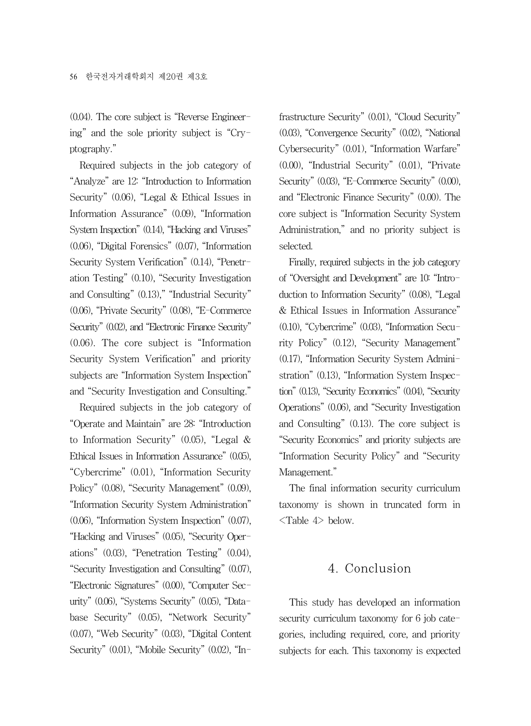(0.04). The core subject is "Reverse Engineering" and the sole priority subject is "Cryptography."

Required subjects in the job category of "Analyze" are 12: "Introduction to Information Security" (0.06), "Legal & Ethical Issues in Information Assurance" (0.09), "Information System Inspection" (0.14), "Hacking and Viruses" (0.06), "Digital Forensics" (0.07), "Information Security System Verification" (0.14), "Penetration Testing" (0.10), "Security Investigation and Consulting" (0.13)," "Industrial Security" (0.06), "Private Security" (0.08), "E-Commerce Security" (0.02), and "Electronic Finance Security" (0.06). The core subject is "Information Security System Verification" and priority subjects are "Information System Inspection" and "Security Investigation and Consulting."

Required subjects in the job category of "Operate and Maintain" are 28: "Introduction to Information Security" (0.05), "Legal & Ethical Issues in Information Assurance" (0.05), "Cybercrime" (0.01), "Information Security Policy" (0.08), "Security Management" (0.09), "Information Security System Administration" (0.06), "Information System Inspection" (0.07), "Hacking and Viruses" (0.05), "Security Operations" (0.03), "Penetration Testing" (0.04), "Security Investigation and Consulting" (0.07), "Electronic Signatures" (0.00), "Computer Security" (0.06), "Systems Security" (0.05), "Database Security" (0.05), "Network Security" (0.07), "Web Security" (0.03), "Digital Content Security" (0.01), "Mobile Security" (0.02), "In-

frastructure Security" (0.01), "Cloud Security" (0.03), "Convergence Security" (0.02), "National Cybersecurity" (0.01), "Information Warfare" (0.00), "Industrial Security" (0.01), "Private Security" (0.03), "E-Commerce Security" (0.00), and "Electronic Finance Security" (0.00). The core subject is "Information Security System Administration," and no priority subject is selected.

Finally, required subjects in the job category of "Oversight and Development" are 10: "Introduction to Information Security" (0.08), "Legal & Ethical Issues in Information Assurance" (0.10), "Cybercrime" (0.03), "Information Security Policy" (0.12), "Security Management" (0.17), "Information Security System Administration" (0.13), "Information System Inspection" (0.13), "Security Economics" (0.04), "Security Operations" (0.06), and "Security Investigation and Consulting" (0.13). The core subject is "Security Economics" and priority subjects are "Information Security Policy" and "Security Management."

The final information security curriculum taxonomy is shown in truncated form in <Table 4> below.

#### 4. Conclusion

This study has developed an information security curriculum taxonomy for 6 job categories, including required, core, and priority subjects for each. This taxonomy is expected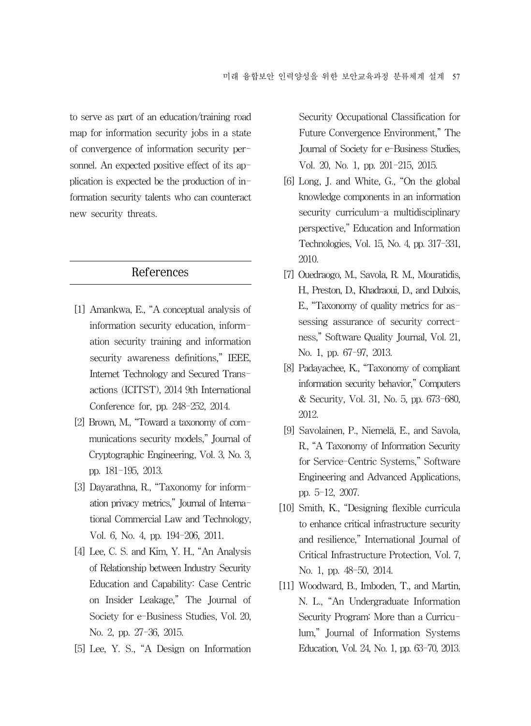to serve as part of an education/training road map for information security jobs in a state of convergence of information security personnel. An expected positive effect of its application is expected be the production of information security talents who can counteract new security threats.

#### References

- [1] Amankwa, E., "A conceptual analysis of information security education, information security training and information security awareness definitions," IEEE, Internet Technology and Secured Transactions (ICITST), 2014 9th International Conference for, pp. 248-252, 2014.
- [2] Brown, M., "Toward a taxonomy of communications security models," Journal of Cryptographic Engineering, Vol. 3, No. 3, pp. 181-195, 2013.
- [3] Dayarathna, R., "Taxonomy for information privacy metrics," Journal of International Commercial Law and Technology, Vol. 6, No. 4, pp. 194-206, 2011.
- [4] Lee, C. S. and Kim, Y. H., "An Analysis of Relationship between Industry Security Education and Capability: Case Centric on Insider Leakage," The Journal of Society for e-Business Studies, Vol. 20, No. 2, pp. 27-36, 2015.
- [5] Lee, Y. S., "A Design on Information

Security Occupational Classification for Future Convergence Environment," The Journal of Society for e-Business Studies, Vol. 20, No. 1, pp. 201-215, 2015.

- [6] Long, J. and White, G., "On the global knowledge components in an information security curriculum-a multidisciplinary perspective," Education and Information Technologies, Vol. 15, No. 4, pp. 317-331, 2010.
- [7] Ouedraogo, M., Savola, R. M., Mouratidis, H., Preston, D., Khadraoui, D., and Dubois, E., "Taxonomy of quality metrics for assessing assurance of security correctness," Software Quality Journal, Vol. 21, No. 1, pp. 67-97, 2013.
- [8] Padayachee, K., "Taxonomy of compliant information security behavior," Computers & Security, Vol. 31, No. 5, pp. 673-680, 2012.
- [9] Savolainen, P., Niemelä, E., and Savola, R., "A Taxonomy of Information Security for Service-Centric Systems," Software Engineering and Advanced Applications, pp. 5-12, 2007.
- [10] Smith, K., "Designing flexible curricula to enhance critical infrastructure security and resilience," International Journal of Critical Infrastructure Protection, Vol. 7, No. 1, pp. 48-50, 2014.
- [11] Woodward, B., Imboden, T., and Martin, N. L., "An Undergraduate Information Security Program: More than a Curriculum," Journal of Information Systems Education, Vol. 24, No. 1, pp. 63-70, 2013.